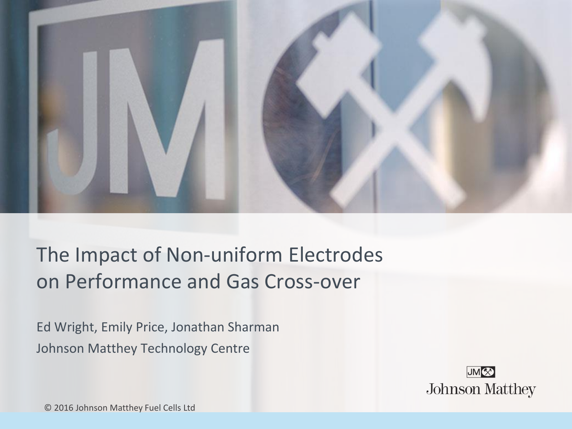

## The Impact of Non-uniform Electrodes on Performance and Gas Cross-over

Ed Wright, Emily Price, Jonathan Sharman Johnson Matthey Technology Centre



© 2016 Johnson Matthey Fuel Cells Ltd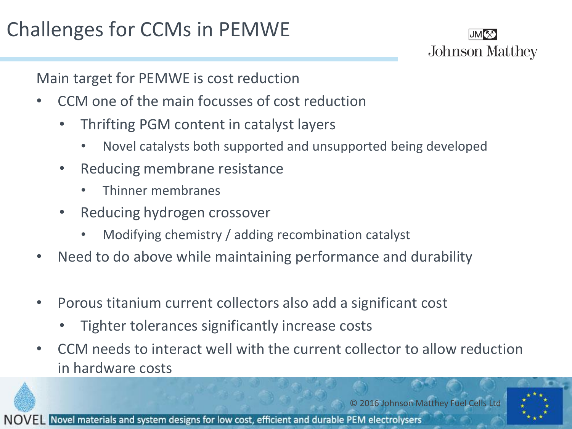# Challenges for CCMs in PEMWE



Main target for PEMWE is cost reduction

- CCM one of the main focusses of cost reduction
	- Thrifting PGM content in catalyst layers
		- Novel catalysts both supported and unsupported being developed
	- Reducing membrane resistance
		- Thinner membranes
	- Reducing hydrogen crossover
		- Modifying chemistry / adding recombination catalyst
- Need to do above while maintaining performance and durability
- Porous titanium current collectors also add a significant cost
	- Tighter tolerances significantly increase costs
- CCM needs to interact well with the current collector to allow reduction in hardware costs



© 2016 Johnson Matthey Fuel Cells Ltd

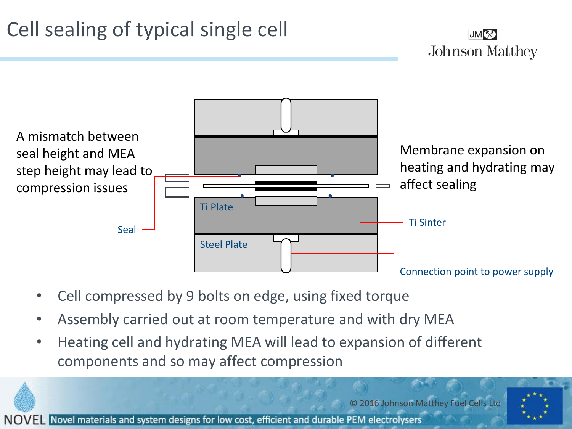# Cell sealing of typical single cell





- Cell compressed by 9 bolts on edge, using fixed torque
- Assembly carried out at room temperature and with dry MEA
- Heating cell and hydrating MEA will lead to expansion of different components and so may affect compression



© 2016 Johnson Matthey Fuel Cells Ltd

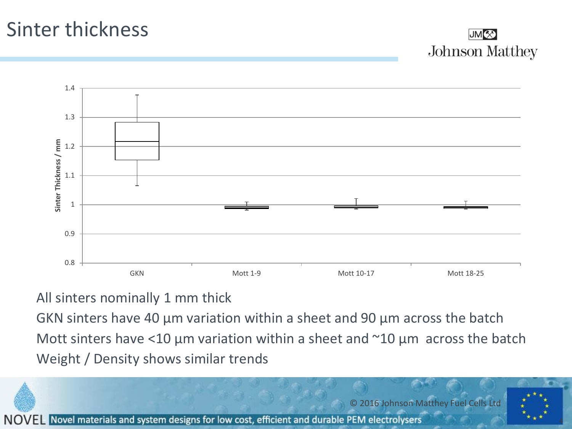#### Sinter thickness



4



#### All sinters nominally 1 mm thick

GKN sinters have 40 µm variation within a sheet and 90 µm across the batch Mott sinters have <10  $\mu$ m variation within a sheet and  $\sim$ 10  $\mu$ m across the batch Weight / Density shows similar trends

© 2016 Johnson Matthey Fuel Cells Ltd Novel materials and system designs for low cost, efficient and durable PEM electrolysers **NOVEL**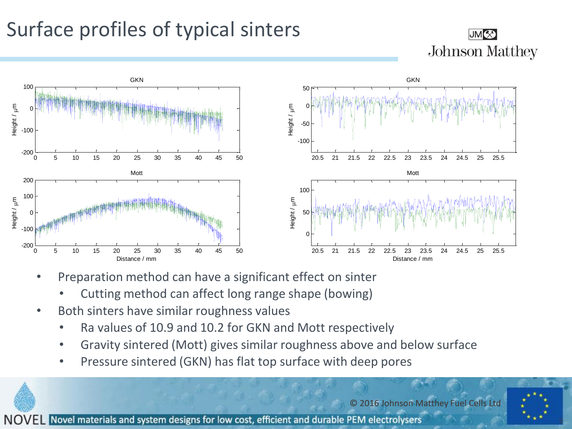# Surface profiles of typical sinters

#### **JMK Johnson Matthey**



- Preparation method can have a significant effect on sinter
	- Cutting method can affect long range shape (bowing)
- Both sinters have similar roughness values
	- Ra values of 10.9 and 10.2 for GKN and Mott respectively
	- Gravity sintered (Mott) gives similar roughness above and below surface
	- Pressure sintered (GKN) has flat top surface with deep pores

© 2016 Johnson Matthey Fuel Cells Ltd

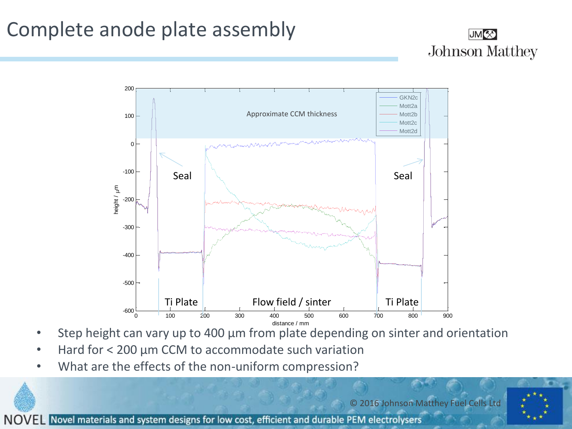## Complete anode plate assembly





- Step height can vary up to 400 µm from plate depending on sinter and orientation
- Hard for < 200 µm CCM to accommodate such variation
- What are the effects of the non-uniform compression?

© 2016 Johnson Matthey Fuel Cells Ltd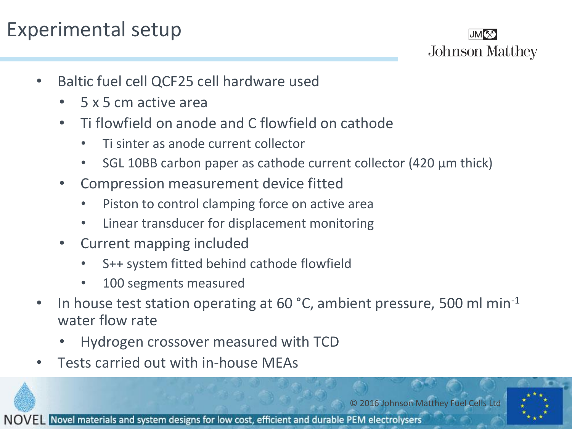## Experimental setup



- Baltic fuel cell QCF25 cell hardware used
	- 5 x 5 cm active area
	- Ti flowfield on anode and C flowfield on cathode
		- Ti sinter as anode current collector
		- SGL 10BB carbon paper as cathode current collector (420 µm thick)
	- Compression measurement device fitted
		- Piston to control clamping force on active area
		- Linear transducer for displacement monitoring
	- Current mapping included
		- S++ system fitted behind cathode flowfield
		- 100 segments measured
- In house test station operating at 60 °C, ambient pressure, 500 ml min-1 water flow rate
	- Hydrogen crossover measured with TCD
- Tests carried out with in-house MEAs



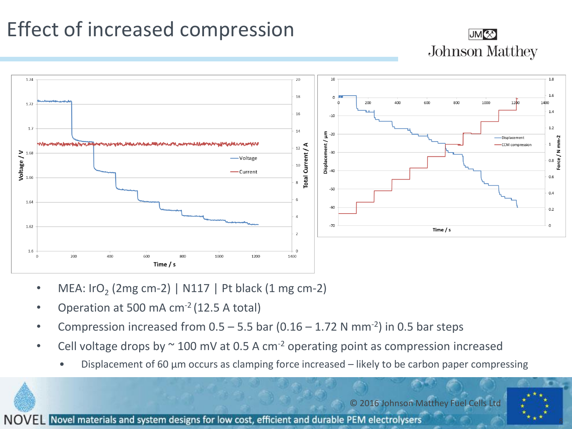# Effect of increased compression





- MEA:  $\text{Iro}_2$  (2mg cm-2) | N117 | Pt black (1 mg cm-2)
- Operation at 500 mA  $cm<sup>-2</sup>$  (12.5 A total)
- Compression increased from  $0.5 5.5$  bar  $(0.16 1.72$  N mm<sup>-2</sup>) in 0.5 bar steps
- Cell voltage drops by  $\sim$  100 mV at 0.5 A cm<sup>-2</sup> operating point as compression increased
	- Displacement of 60  $\mu$ m occurs as clamping force increased likely to be carbon paper compressing

© 2016 Johnson Matthey Fuel Cells Ltd

8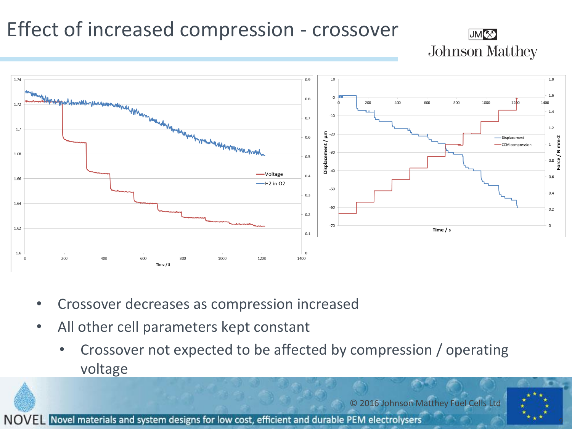## Effect of increased compression - crossover





- Crossover decreases as compression increased
- All other cell parameters kept constant
	- Crossover not expected to be affected by compression / operating voltage

© 2016 Johnson Matthey Fuel Cells Ltd

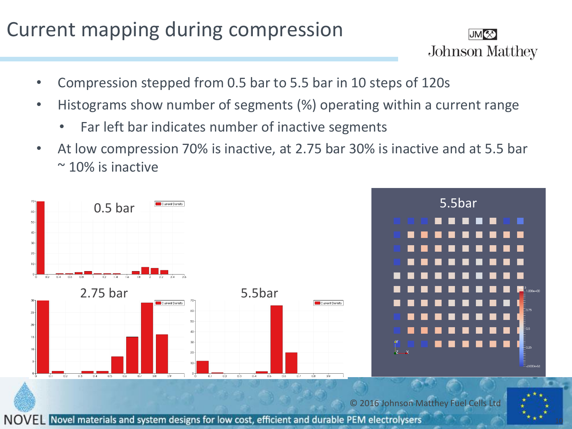### Current mapping during compression



- Compression stepped from 0.5 bar to 5.5 bar in 10 steps of 120s
- Histograms show number of segments (%) operating within a current range
	- Far left bar indicates number of inactive segments
- At low compression 70% is inactive, at 2.75 bar 30% is inactive and at 5.5 bar  $\approx$  10% is inactive

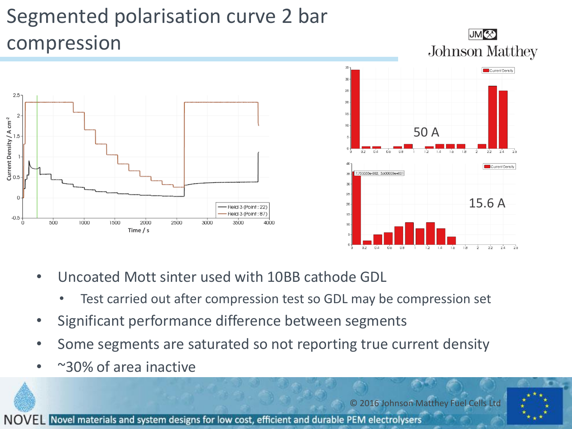# Segmented polarisation curve 2 bar compression



- Uncoated Mott sinter used with 10BB cathode GDL
	- Test carried out after compression test so GDL may be compression set
- Significant performance difference between segments
- Some segments are saturated so not reporting true current density
- ~30% of area inactive

© 2016 Johnson Matthey Fuel Cells Ltd

**JMK** 

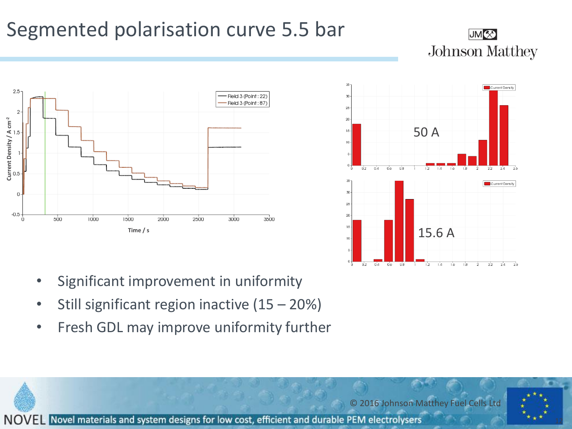## Segmented polarisation curve 5.5 bar

#### JM<sup>(X)</sup> **Johnson Matthey**





- Significant improvement in uniformity
- Still significant region inactive (15 20%)
- Fresh GDL may improve uniformity further

© 2016 Johnson Matthey Fuel Cells Ltd

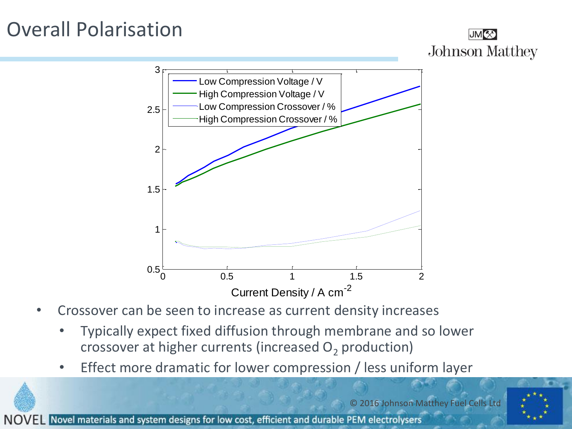## Overall Polarisation

**NOVEL** 





- Crossover can be seen to increase as current density increases
	- Typically expect fixed diffusion through membrane and so lower crossover at higher currents (increased  $O<sub>2</sub>$  production)
	- Effect more dramatic for lower compression / less uniform layer

© 2016 Johnson Matthey Fuel Cells Ltd Novel materials and system designs for low cost, efficient and durable PEM electrolysers

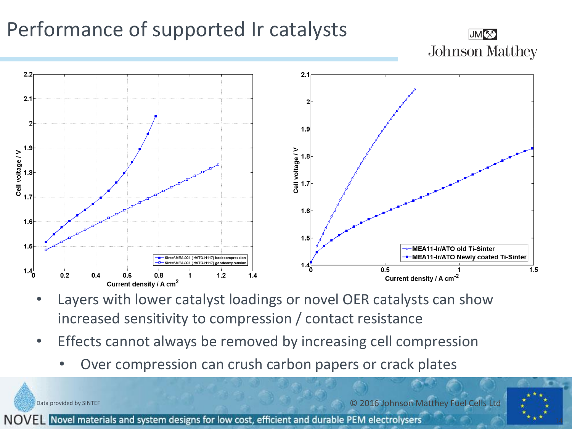## Performance of supported Ir catalysts





- Layers with lower catalyst loadings or novel OER catalysts can show increased sensitivity to compression / contact resistance
- Effects cannot always be removed by increasing cell compression
	- Over compression can crush carbon papers or crack plates

© 2016 Johnson Matthey Fuel Cells Ltd

14

NOVEL Novel materials and system designs for low cost, efficient and durable PEM electrolysers

Data provided by SINTEF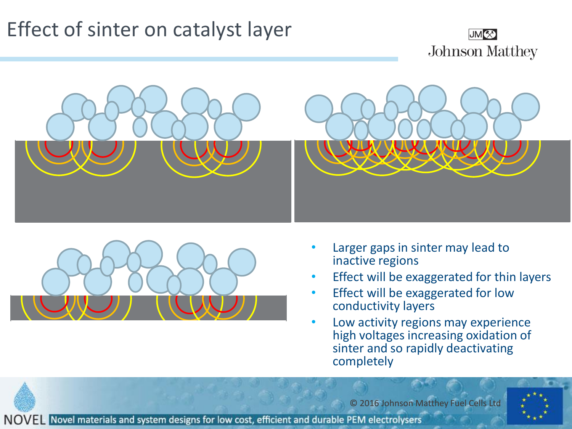## Effect of sinter on catalyst layer







- Larger gaps in sinter may lead to inactive regions
- Effect will be exaggerated for thin layers
- Effect will be exaggerated for low conductivity layers
- Low activity regions may experience high voltages increasing oxidation of sinter and so rapidly deactivating completely

© 2016 Johnson Matthey Fuel Cells Ltd

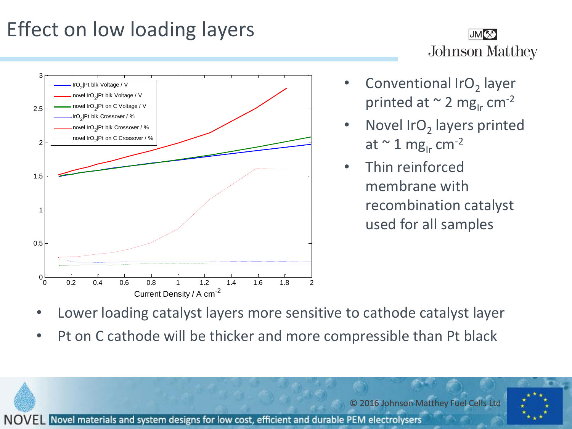# Effect on low loading layers





- Conventional IrO<sub>2</sub> layer printed at  $\sim$  2 mg<sub>Ir</sub> cm<sup>-2</sup>
- Novel IrO<sub>2</sub> layers printed at  $\sim$  1 mg<sub>Ir</sub> cm<sup>-2</sup>
- Thin reinforced membrane with recombination catalyst used for all samples

- Lower loading catalyst layers more sensitive to cathode catalyst layer
- Pt on C cathode will be thicker and more compressible than Pt black

© 2016 Johnson Matthey Fuel Cells Ltd

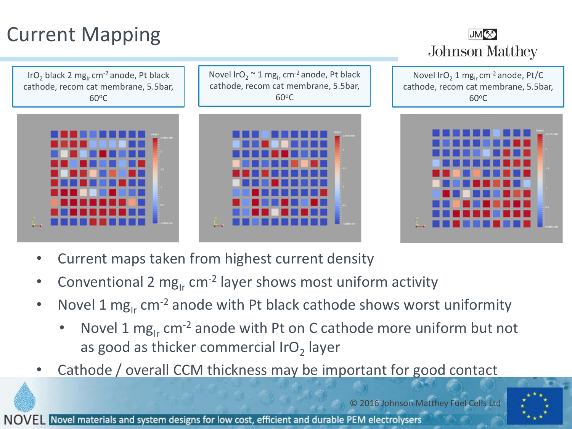# Current Mapping

IrO<sub>2</sub> black 2 mg<sub>Ir</sub> cm<sup>-2</sup> anode, Pt black cathode, recom cat membrane, 5.5bar,  $60^{\circ}$ C

Novel IrO<sub>2</sub>  $\sim$  1 mg<sub>Ir</sub> cm<sup>-2</sup> anode, Pt black cathode, recom cat membrane, 5.5bar,  $60^{\circ}$ C





Novel IrO<sub>2</sub> 1 mg<sub>Ir</sub> cm<sup>-2</sup> anode, Pt/C cathode, recom cat membrane, 5.5bar,  $60^{\circ}$ C



- Current maps taken from highest current density
- Conventional 2 mg<sub>Ir</sub> cm<sup>-2</sup> layer shows most uniform activity
- Novel 1 mg<sub>Ir</sub> cm<sup>-2</sup> anode with Pt black cathode shows worst uniformity
	- Novel 1 mg<sub>Ir</sub> cm<sup>-2</sup> anode with Pt on C cathode more uniform but not as good as thicker commercial IrO<sub>2</sub> layer
- Cathode / overall CCM thickness may be important for good contact

© 2016 Johnson Matthey Fuel Cells Ltd

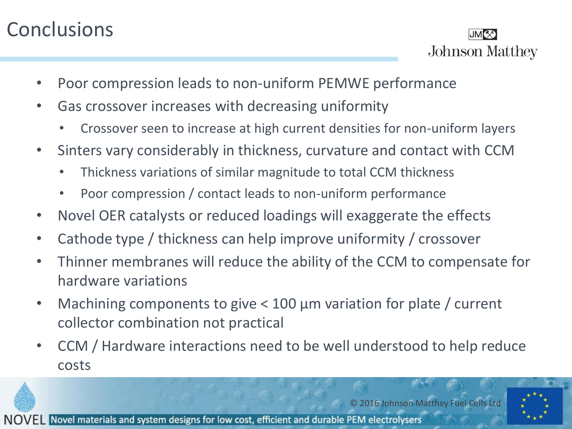## **Conclusions**



- Poor compression leads to non-uniform PEMWE performance
- Gas crossover increases with decreasing uniformity
	- Crossover seen to increase at high current densities for non-uniform layers
- Sinters vary considerably in thickness, curvature and contact with CCM
	- Thickness variations of similar magnitude to total CCM thickness
	- Poor compression / contact leads to non-uniform performance
- Novel OER catalysts or reduced loadings will exaggerate the effects
- Cathode type / thickness can help improve uniformity / crossover
- Thinner membranes will reduce the ability of the CCM to compensate for hardware variations
- Machining components to give < 100 µm variation for plate / current collector combination not practical
- CCM / Hardware interactions need to be well understood to help reduce costs



© 2016 Johnson Matthey Fuel Cells Ltd